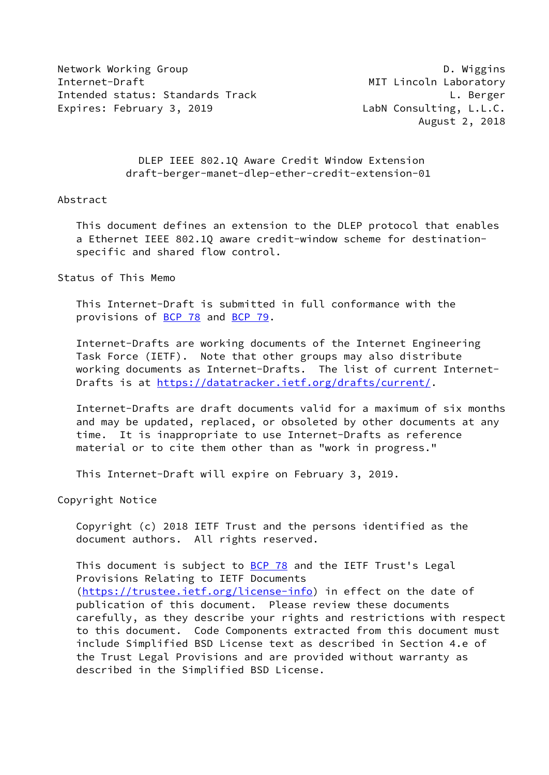Network Working Group **D. Wiggins** Internet-Draft MIT Lincoln Laboratory Intended status: Standards Track L. Berger Expires: February 3, 2019 LabN Consulting, L.L.C.

August 2, 2018

 DLEP IEEE 802.1Q Aware Credit Window Extension draft-berger-manet-dlep-ether-credit-extension-01

#### Abstract

 This document defines an extension to the DLEP protocol that enables a Ethernet IEEE 802.1Q aware credit-window scheme for destination specific and shared flow control.

Status of This Memo

 This Internet-Draft is submitted in full conformance with the provisions of [BCP 78](https://datatracker.ietf.org/doc/pdf/bcp78) and [BCP 79](https://datatracker.ietf.org/doc/pdf/bcp79).

 Internet-Drafts are working documents of the Internet Engineering Task Force (IETF). Note that other groups may also distribute working documents as Internet-Drafts. The list of current Internet Drafts is at<https://datatracker.ietf.org/drafts/current/>.

 Internet-Drafts are draft documents valid for a maximum of six months and may be updated, replaced, or obsoleted by other documents at any time. It is inappropriate to use Internet-Drafts as reference material or to cite them other than as "work in progress."

This Internet-Draft will expire on February 3, 2019.

Copyright Notice

 Copyright (c) 2018 IETF Trust and the persons identified as the document authors. All rights reserved.

This document is subject to **[BCP 78](https://datatracker.ietf.org/doc/pdf/bcp78)** and the IETF Trust's Legal Provisions Relating to IETF Documents [\(https://trustee.ietf.org/license-info](https://trustee.ietf.org/license-info)) in effect on the date of publication of this document. Please review these documents carefully, as they describe your rights and restrictions with respect to this document. Code Components extracted from this document must include Simplified BSD License text as described in Section 4.e of the Trust Legal Provisions and are provided without warranty as described in the Simplified BSD License.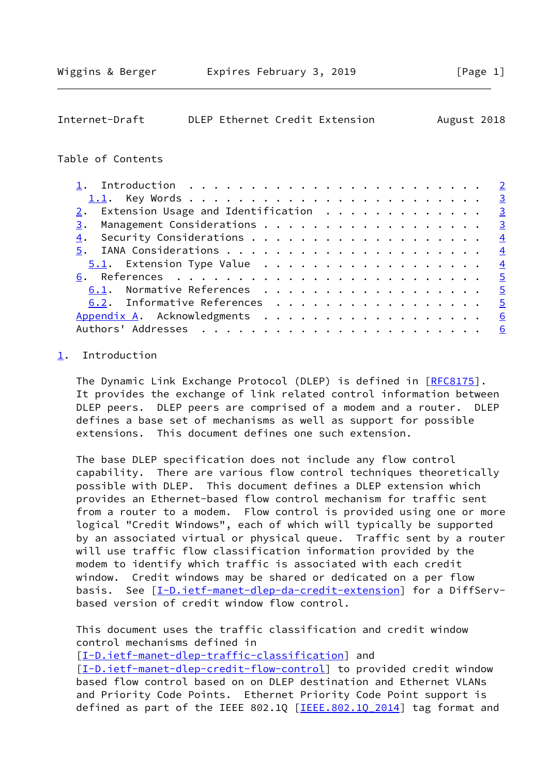<span id="page-1-1"></span>

| Internet-Draft |  | DLEP Ethernet Credit Extension | August 2018 |  |
|----------------|--|--------------------------------|-------------|--|
|                |  |                                |             |  |

### Table of Contents

| 1. Introduction $\ldots \ldots \ldots \ldots \ldots \ldots \ldots \ldots \ldots$ |   |
|----------------------------------------------------------------------------------|---|
|                                                                                  |   |
| $2.$ Extension Usage and Identification $.$                                      |   |
|                                                                                  |   |
|                                                                                  |   |
|                                                                                  |   |
|                                                                                  |   |
|                                                                                  |   |
| 6.1. Normative References 5                                                      |   |
| 6.2. Informative References 5                                                    |   |
| Appendix A. Acknowledgments 6                                                    |   |
|                                                                                  | 6 |
|                                                                                  |   |

# <span id="page-1-0"></span>[1](#page-1-0). Introduction

The Dynamic Link Exchange Protocol (DLEP) is defined in [\[RFC8175](https://datatracker.ietf.org/doc/pdf/rfc8175)]. It provides the exchange of link related control information between DLEP peers. DLEP peers are comprised of a modem and a router. DLEP defines a base set of mechanisms as well as support for possible extensions. This document defines one such extension.

 The base DLEP specification does not include any flow control capability. There are various flow control techniques theoretically possible with DLEP. This document defines a DLEP extension which provides an Ethernet-based flow control mechanism for traffic sent from a router to a modem. Flow control is provided using one or more logical "Credit Windows", each of which will typically be supported by an associated virtual or physical queue. Traffic sent by a router will use traffic flow classification information provided by the modem to identify which traffic is associated with each credit window. Credit windows may be shared or dedicated on a per flow basis. See [\[I-D.ietf-manet-dlep-da-credit-extension](#page-5-3)] for a DiffServbased version of credit window flow control.

 This document uses the traffic classification and credit window control mechanisms defined in

[\[I-D.ietf-manet-dlep-traffic-classification\]](#page-4-5) and

[\[I-D.ietf-manet-dlep-credit-flow-control](#page-4-6)] to provided credit window based flow control based on on DLEP destination and Ethernet VLANs and Priority Code Points. Ethernet Priority Code Point support is defined as part of the IEEE 802.1Q  $[IEEE.802.10 2014]$  tag format and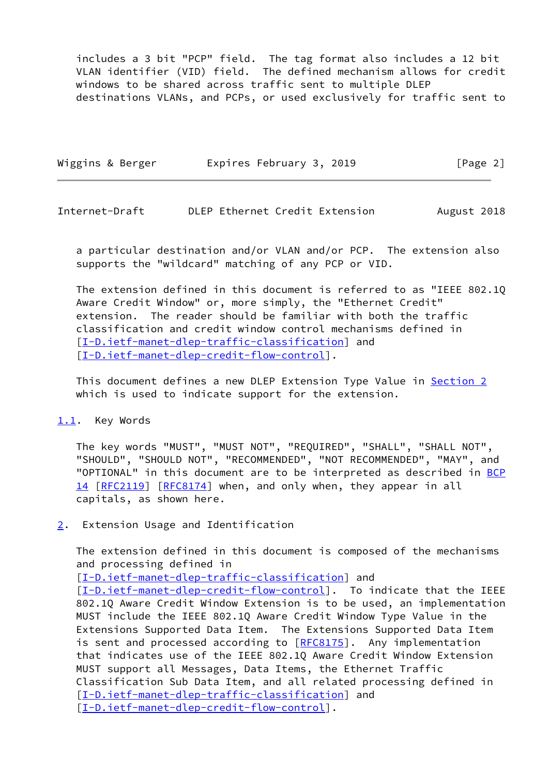includes a 3 bit "PCP" field. The tag format also includes a 12 bit VLAN identifier (VID) field. The defined mechanism allows for credit windows to be shared across traffic sent to multiple DLEP destinations VLANs, and PCPs, or used exclusively for traffic sent to

| Wiggins & Berger | Expires February 3, 2019 | [Page 2] |
|------------------|--------------------------|----------|
|                  |                          |          |

<span id="page-2-1"></span>Internet-Draft DLEP Ethernet Credit Extension August 2018

 a particular destination and/or VLAN and/or PCP. The extension also supports the "wildcard" matching of any PCP or VID.

 The extension defined in this document is referred to as "IEEE 802.1Q Aware Credit Window" or, more simply, the "Ethernet Credit" extension. The reader should be familiar with both the traffic classification and credit window control mechanisms defined in [\[I-D.ietf-manet-dlep-traffic-classification\]](#page-4-5) and [\[I-D.ietf-manet-dlep-credit-flow-control](#page-4-6)].

This document defines a new DLEP Extension Type Value in [Section 2](#page-2-2) which is used to indicate support for the extension.

### <span id="page-2-0"></span>[1.1](#page-2-0). Key Words

 The key words "MUST", "MUST NOT", "REQUIRED", "SHALL", "SHALL NOT", "SHOULD", "SHOULD NOT", "RECOMMENDED", "NOT RECOMMENDED", "MAY", and "OPTIONAL" in this document are to be interpreted as described in [BCP](https://datatracker.ietf.org/doc/pdf/bcp14) [14](https://datatracker.ietf.org/doc/pdf/bcp14) [[RFC2119\]](https://datatracker.ietf.org/doc/pdf/rfc2119) [\[RFC8174](https://datatracker.ietf.org/doc/pdf/rfc8174)] when, and only when, they appear in all capitals, as shown here.

<span id="page-2-2"></span>[2](#page-2-2). Extension Usage and Identification

 The extension defined in this document is composed of the mechanisms and processing defined in

[\[I-D.ietf-manet-dlep-traffic-classification\]](#page-4-5) and

[\[I-D.ietf-manet-dlep-credit-flow-control](#page-4-6)]. To indicate that the IEEE 802.1Q Aware Credit Window Extension is to be used, an implementation MUST include the IEEE 802.1Q Aware Credit Window Type Value in the Extensions Supported Data Item. The Extensions Supported Data Item is sent and processed according to [[RFC8175\]](https://datatracker.ietf.org/doc/pdf/rfc8175). Any implementation that indicates use of the IEEE 802.1Q Aware Credit Window Extension MUST support all Messages, Data Items, the Ethernet Traffic Classification Sub Data Item, and all related processing defined in [\[I-D.ietf-manet-dlep-traffic-classification\]](#page-4-5) and [\[I-D.ietf-manet-dlep-credit-flow-control](#page-4-6)].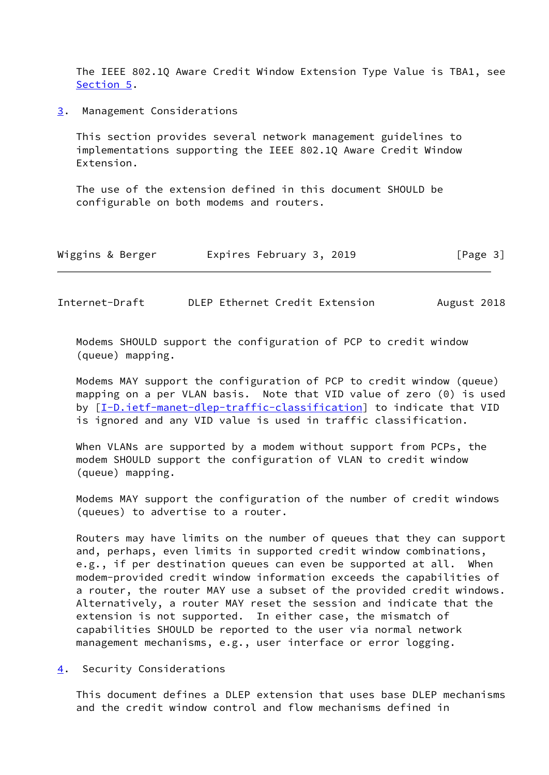The IEEE 802.1Q Aware Credit Window Extension Type Value is TBA1, see [Section 5](#page-4-0).

<span id="page-3-0"></span>[3](#page-3-0). Management Considerations

 This section provides several network management guidelines to implementations supporting the IEEE 802.1Q Aware Credit Window Extension.

 The use of the extension defined in this document SHOULD be configurable on both modems and routers.

| Wiggins & Berger | Expires February 3, 2019 | [Page 3] |
|------------------|--------------------------|----------|
|------------------|--------------------------|----------|

<span id="page-3-2"></span>Internet-Draft DLEP Ethernet Credit Extension August 2018

 Modems SHOULD support the configuration of PCP to credit window (queue) mapping.

 Modems MAY support the configuration of PCP to credit window (queue) mapping on a per VLAN basis. Note that VID value of zero (0) is used by [[I-D.ietf-manet-dlep-traffic-classification\]](#page-4-5) to indicate that VID is ignored and any VID value is used in traffic classification.

 When VLANs are supported by a modem without support from PCPs, the modem SHOULD support the configuration of VLAN to credit window (queue) mapping.

 Modems MAY support the configuration of the number of credit windows (queues) to advertise to a router.

 Routers may have limits on the number of queues that they can support and, perhaps, even limits in supported credit window combinations, e.g., if per destination queues can even be supported at all. When modem-provided credit window information exceeds the capabilities of a router, the router MAY use a subset of the provided credit windows. Alternatively, a router MAY reset the session and indicate that the extension is not supported. In either case, the mismatch of capabilities SHOULD be reported to the user via normal network management mechanisms, e.g., user interface or error logging.

<span id="page-3-1"></span>[4](#page-3-1). Security Considerations

 This document defines a DLEP extension that uses base DLEP mechanisms and the credit window control and flow mechanisms defined in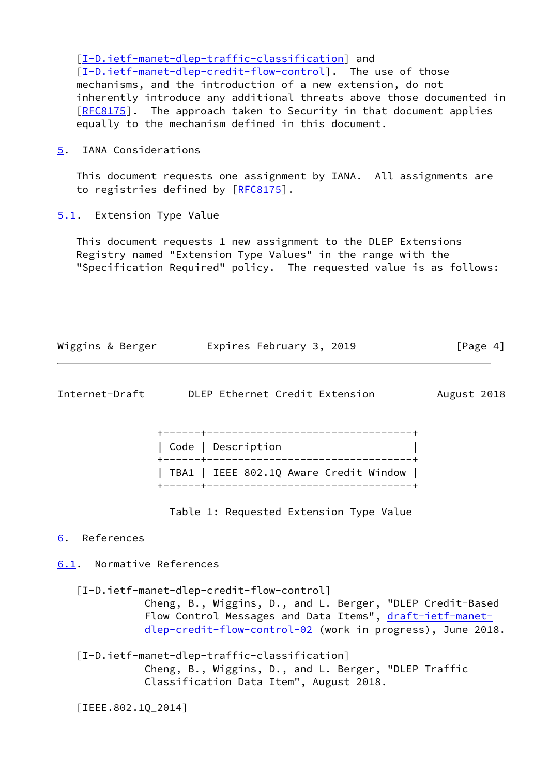[\[I-D.ietf-manet-dlep-traffic-classification\]](#page-4-5) and [\[I-D.ietf-manet-dlep-credit-flow-control](#page-4-6)]. The use of those mechanisms, and the introduction of a new extension, do not inherently introduce any additional threats above those documented in [\[RFC8175](https://datatracker.ietf.org/doc/pdf/rfc8175)]. The approach taken to Security in that document applies equally to the mechanism defined in this document.

<span id="page-4-0"></span>[5](#page-4-0). IANA Considerations

 This document requests one assignment by IANA. All assignments are to registries defined by [\[RFC8175](https://datatracker.ietf.org/doc/pdf/rfc8175)].

<span id="page-4-1"></span>[5.1](#page-4-1). Extension Type Value

 This document requests 1 new assignment to the DLEP Extensions Registry named "Extension Type Values" in the range with the "Specification Required" policy. The requested value is as follows:

| Wiggins & Berger | Expires February 3, 2019 | [Page 4] |
|------------------|--------------------------|----------|
|                  |                          |          |

<span id="page-4-3"></span>

| Internet-Draft |  | DLEP Ethernet Credit Extension |  |
|----------------|--|--------------------------------|--|
|                |  |                                |  |

ugust 2018

| Code   Description                     |
|----------------------------------------|
|                                        |
| TBA1   IEEE 802.1Q Aware Credit Window |
|                                        |

Table 1: Requested Extension Type Value

## <span id="page-4-2"></span>[6](#page-4-2). References

<span id="page-4-4"></span>[6.1](#page-4-4). Normative References

<span id="page-4-6"></span>[I-D.ietf-manet-dlep-credit-flow-control]

 Cheng, B., Wiggins, D., and L. Berger, "DLEP Credit-Based Flow Control Messages and Data Items", [draft-ietf-manet](https://datatracker.ietf.org/doc/pdf/draft-ietf-manet-dlep-credit-flow-control-02) [dlep-credit-flow-control-02](https://datatracker.ietf.org/doc/pdf/draft-ietf-manet-dlep-credit-flow-control-02) (work in progress), June 2018.

<span id="page-4-5"></span> [I-D.ietf-manet-dlep-traffic-classification] Cheng, B., Wiggins, D., and L. Berger, "DLEP Traffic Classification Data Item", August 2018.

<span id="page-4-7"></span>[IEEE.802.1Q\_2014]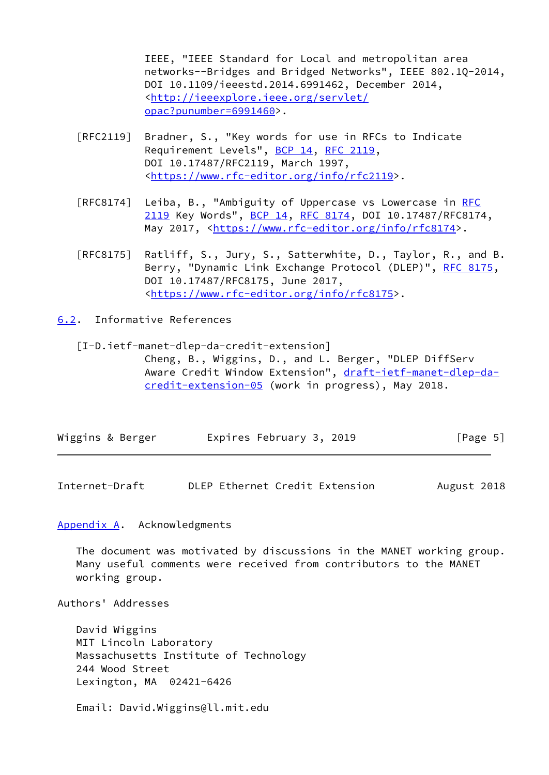IEEE, "IEEE Standard for Local and metropolitan area networks--Bridges and Bridged Networks", IEEE 802.1Q-2014, DOI 10.1109/ieeestd.2014.6991462, December 2014, <[http://ieeexplore.ieee.org/servlet/](http://ieeexplore.ieee.org/servlet/opac?punumber=6991460) [opac?punumber=6991460>](http://ieeexplore.ieee.org/servlet/opac?punumber=6991460).

- [RFC2119] Bradner, S., "Key words for use in RFCs to Indicate Requirement Levels", [BCP 14](https://datatracker.ietf.org/doc/pdf/bcp14), [RFC 2119](https://datatracker.ietf.org/doc/pdf/rfc2119), DOI 10.17487/RFC2119, March 1997, <[https://www.rfc-editor.org/info/rfc2119>](https://www.rfc-editor.org/info/rfc2119).
- [RFC8174] Leiba, B., "Ambiguity of Uppercase vs Lowercase in [RFC](https://datatracker.ietf.org/doc/pdf/rfc2119) [2119](https://datatracker.ietf.org/doc/pdf/rfc2119) Key Words", [BCP 14](https://datatracker.ietf.org/doc/pdf/bcp14), [RFC 8174,](https://datatracker.ietf.org/doc/pdf/rfc8174) DOI 10.17487/RFC8174, May 2017, [<https://www.rfc-editor.org/info/rfc8174](https://www.rfc-editor.org/info/rfc8174)>.
- [RFC8175] Ratliff, S., Jury, S., Satterwhite, D., Taylor, R., and B. Berry, "Dynamic Link Exchange Protocol (DLEP)", [RFC 8175,](https://datatracker.ietf.org/doc/pdf/rfc8175) DOI 10.17487/RFC8175, June 2017, <[https://www.rfc-editor.org/info/rfc8175>](https://www.rfc-editor.org/info/rfc8175).
- <span id="page-5-0"></span>[6.2](#page-5-0). Informative References

<span id="page-5-3"></span> [I-D.ietf-manet-dlep-da-credit-extension] Cheng, B., Wiggins, D., and L. Berger, "DLEP DiffServ Aware Credit Window Extension", [draft-ietf-manet-dlep-da](https://datatracker.ietf.org/doc/pdf/draft-ietf-manet-dlep-da-credit-extension-05) [credit-extension-05](https://datatracker.ietf.org/doc/pdf/draft-ietf-manet-dlep-da-credit-extension-05) (work in progress), May 2018.

| Wiggins & Berger<br>Expires February 3, 2019 | [Page 5] |
|----------------------------------------------|----------|
|----------------------------------------------|----------|

<span id="page-5-2"></span>Internet-Draft DLEP Ethernet Credit Extension August 2018

<span id="page-5-1"></span>[Appendix A.](#page-5-1) Acknowledgments

 The document was motivated by discussions in the MANET working group. Many useful comments were received from contributors to the MANET working group.

Authors' Addresses

 David Wiggins MIT Lincoln Laboratory Massachusetts Institute of Technology 244 Wood Street Lexington, MA 02421-6426

Email: David.Wiggins@ll.mit.edu